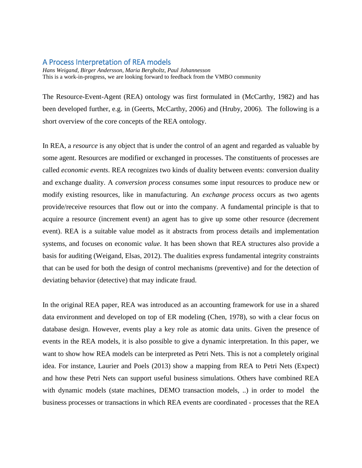## A Process Interpretation of REA models

*Hans Weigand, Birger Andersson, Maria Bergholtz, Paul Johannesson* This is a work-in-progress, we are looking forward to feedback from the VMBO community

The Resource-Event-Agent (REA) ontology was first formulated in (McCarthy, 1982) and has been developed further, e.g. in (Geerts, McCarthy, 2006) and (Hruby, 2006). The following is a short overview of the core concepts of the REA ontology.

In REA, a *resource* is any object that is under the control of an agent and regarded as valuable by some agent. Resources are modified or exchanged in processes. The constituents of processes are called *economic events*. REA recognizes two kinds of duality between events: conversion duality and exchange duality. A *conversion process* consumes some input resources to produce new or modify existing resources, like in manufacturing. An *exchange process* occurs as two agents provide/receive resources that flow out or into the company. A fundamental principle is that to acquire a resource (increment event) an agent has to give up some other resource (decrement event). REA is a suitable value model as it abstracts from process details and implementation systems, and focuses on economic *value*. It has been shown that REA structures also provide a basis for auditing (Weigand, Elsas, 2012). The dualities express fundamental integrity constraints that can be used for both the design of control mechanisms (preventive) and for the detection of deviating behavior (detective) that may indicate fraud.

In the original REA paper, REA was introduced as an accounting framework for use in a shared data environment and developed on top of ER modeling (Chen, 1978), so with a clear focus on database design. However, events play a key role as atomic data units. Given the presence of events in the REA models, it is also possible to give a dynamic interpretation. In this paper, we want to show how REA models can be interpreted as Petri Nets. This is not a completely original idea. For instance, Laurier and Poels (2013) show a mapping from REA to Petri Nets (Expect) and how these Petri Nets can support useful business simulations. Others have combined REA with dynamic models (state machines, DEMO transaction models, ..) in order to model the business processes or transactions in which REA events are coordinated - processes that the REA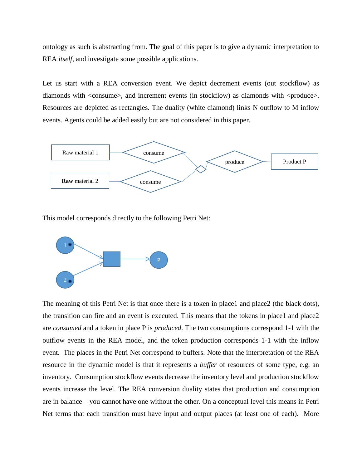ontology as such is abstracting from. The goal of this paper is to give a dynamic interpretation to REA *itself*, and investigate some possible applications.

Let us start with a REA conversion event. We depict decrement events (out stockflow) as diamonds with <consume>, and increment events (in stockflow) as diamonds with <produce>. Resources are depicted as rectangles. The duality (white diamond) links N outflow to M inflow events. Agents could be added easily but are not considered in this paper.



This model corresponds directly to the following Petri Net:



The meaning of this Petri Net is that once there is a token in place1 and place2 (the black dots), the transition can fire and an event is executed. This means that the tokens in place1 and place2 are *consumed* and a token in place P is *produced*. The two consumptions correspond 1-1 with the outflow events in the REA model, and the token production corresponds 1-1 with the inflow event. The places in the Petri Net correspond to buffers. Note that the interpretation of the REA resource in the dynamic model is that it represents a *buffer* of resources of some type, e.g. an inventory. Consumption stockflow events decrease the inventory level and production stockflow events increase the level. The REA conversion duality states that production and consumption are in balance – you cannot have one without the other. On a conceptual level this means in Petri Net terms that each transition must have input and output places (at least one of each). More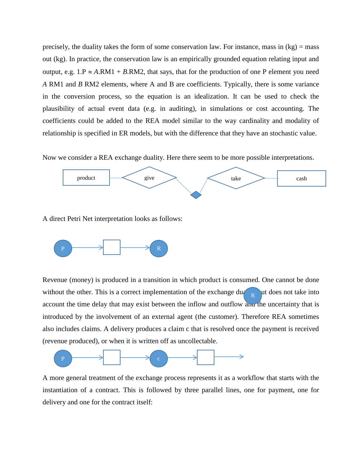precisely, the duality takes the form of some conservation law. For instance, mass in  $(kg)$  = mass out (kg). In practice, the conservation law is an empirically grounded equation relating input and output, e.g.  $1.P \approx A.RM1 + B.RM2$ , that says, that for the production of one P element you need *A* RM1 and *B* RM2 elements, where A and B are coefficients. Typically, there is some variance in the conversion process, so the equation is an idealization. It can be used to check the plausibility of actual event data (e.g. in auditing), in simulations or cost accounting. The coefficients could be added to the REA model similar to the way cardinality and modality of relationship is specified in ER models, but with the difference that they have an stochastic value.

Now we consider a REA exchange duality. Here there seem to be more possible interpretations.



A direct Petri Net interpretation looks as follows:



Revenue (money) is produced in a transition in which product is consumed. One cannot be done without the other. This is a correct implementation of the exchange  $du_{\text{R}}$  and does not take into account the time delay that may exist between the inflow and outflow and the uncertainty that is introduced by the involvement of an external agent (the customer). Therefore REA sometimes also includes claims. A delivery produces a claim c that is resolved once the payment is received (revenue produced), or when it is written off as uncollectable.



A more general treatment of the exchange process represents it as a workflow that starts with the instantiation of a contract. This is followed by three parallel lines, one for payment, one for delivery and one for the contract itself: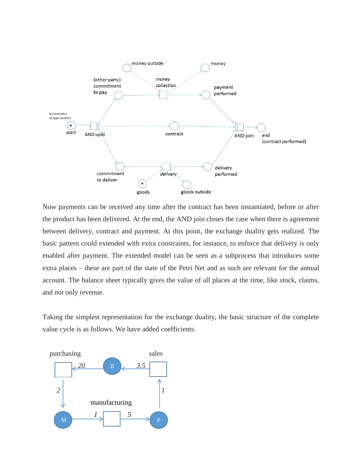

Now payments can be received any time after the contract has been instantiated, before or after the product has been delivered. At the end, the AND join closes the case when there is agreement between delivery, contract and payment. At this point, the exchange duality gets realized. The basic pattern could extended with extra constraints, for instance, to enforce that delivery is only enabled after payment. The extended model can be seen as a subprocess that introduces some extra places – these are part of the state of the Petri Net and as such are relevant for the annual account. The balance sheet typically gives the value of all places at the time, like stock, claims, and not only revenue.

Taking the simplest representation for the exchange duality, the basic structure of the complete value cycle is as follows. We have added coefficients.

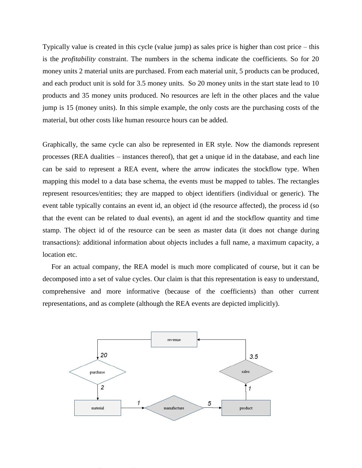Typically value is created in this cycle (value jump) as sales price is higher than cost price – this is the *profitability* constraint. The numbers in the schema indicate the coefficients. So for 20 money units 2 material units are purchased. From each material unit, 5 products can be produced, and each product unit is sold for 3.5 money units. So 20 money units in the start state lead to 10 products and 35 money units produced. No resources are left in the other places and the value jump is 15 (money units). In this simple example, the only costs are the purchasing costs of the material, but other costs like human resource hours can be added.

Graphically, the same cycle can also be represented in ER style. Now the diamonds represent processes (REA dualities – instances thereof), that get a unique id in the database, and each line can be said to represent a REA event, where the arrow indicates the stockflow type. When mapping this model to a data base schema, the events must be mapped to tables. The rectangles represent resources/entities; they are mapped to object identifiers (individual or generic). The event table typically contains an event id, an object id (the resource affected), the process id (so that the event can be related to dual events), an agent id and the stockflow quantity and time stamp. The object id of the resource can be seen as master data (it does not change during transactions): additional information about objects includes a full name, a maximum capacity, a location etc.

 For an actual company, the REA model is much more complicated of course, but it can be decomposed into a set of value cycles. Our claim is that this representation is easy to understand, comprehensive and more informative (because of the coefficients) than other current representations, and as complete (although the REA events are depicted implicitly).